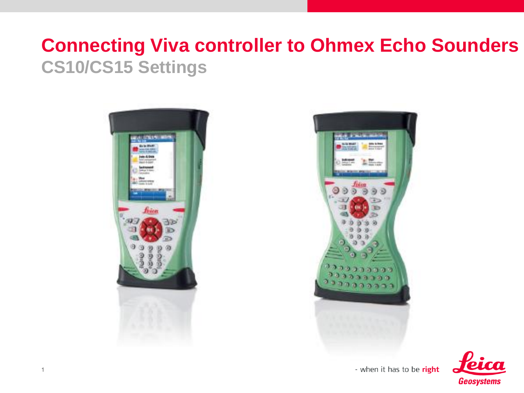#### **Connecting Viva controller to Ohmex Echo Sounders CS10/CS15 Settings**







- when it has to be right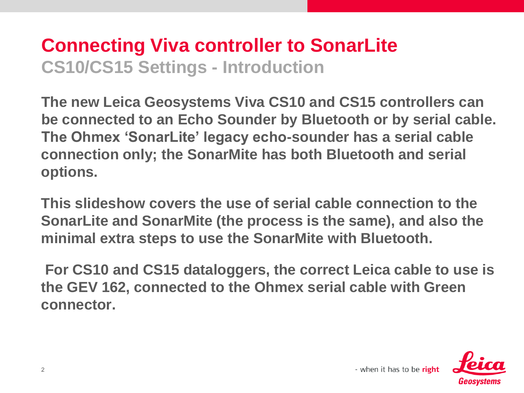#### **Connecting Viva controller to SonarLite CS10/CS15 Settings - Introduction**

**The new Leica Geosystems Viva CS10 and CS15 controllers can be connected to an Echo Sounder by Bluetooth or by serial cable. The Ohmex 'SonarLite' legacy echo-sounder has a serial cable connection only; the SonarMite has both Bluetooth and serial options.**

**This slideshow covers the use of serial cable connection to the SonarLite and SonarMite (the process is the same), and also the minimal extra steps to use the SonarMite with Bluetooth.**

**For CS10 and CS15 dataloggers, the correct Leica cable to use is the GEV 162, connected to the Ohmex serial cable with Green connector.** 

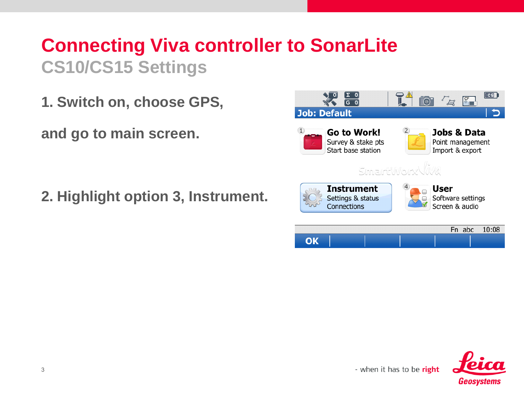**1. Switch on, choose GPS,** 

**and go to main screen.**

**2. Highlight option 3, Instrument.**



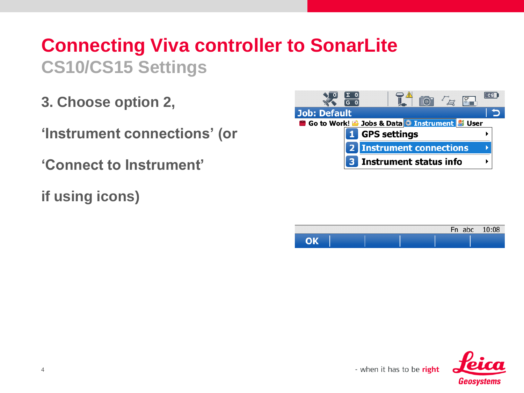**3. Choose option 2,**

**'Instrument connections' (or**

- **'Connect to Instrument'**
- **if using icons)**





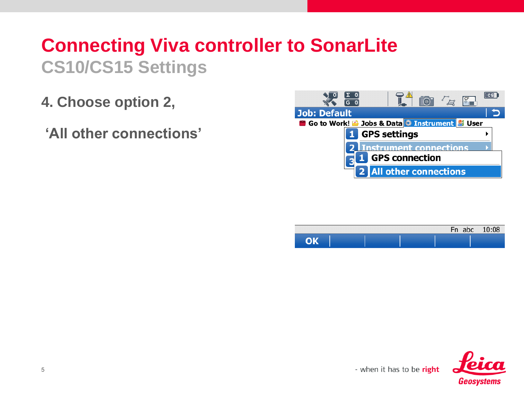- **4. Choose option 2,**
- **'All other connections'**





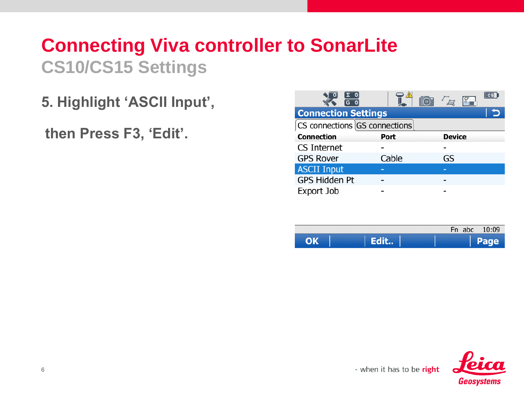**5. Highlight 'ASCII Input',**

**then Press F3, 'Edit'.**

| <b>Connection Settings</b>      |       |               |  |
|---------------------------------|-------|---------------|--|
| [CS connections GS connections] |       |               |  |
| <b>Connection</b>               | Port  | <b>Device</b> |  |
| CS Internet                     |       |               |  |
| <b>GPS Rover</b>                | Cable | GS            |  |
| <b>ASCII Input</b>              | -     | -             |  |
| <b>GPS Hidden Pt</b>            |       |               |  |
| Export Job                      |       |               |  |

|  | Fn abc 10:09 |
|--|--------------|
|  |              |

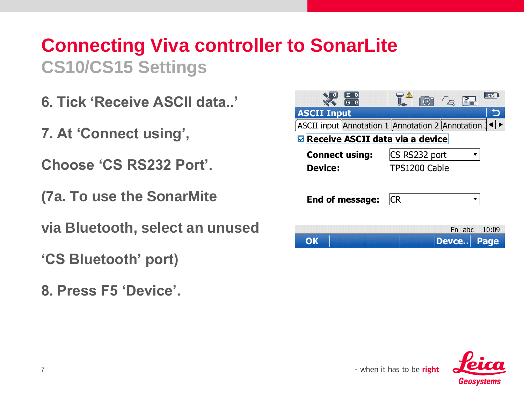- **6. Tick 'Receive ASCII data..'**
- **7. At 'Connect using',**
- **Choose 'CS RS232 Port'.**
- **(7a. To use the SonarMite**
- **via Bluetooth, select an unused**
- **'CS Bluetooth' port)**
- **8. Press F5 'Device'.**

|                                           | c <sub>S</sub><br>Fo <sup>-1</sup><br>$F_{\mathbb{Z}}$ |  |  |  |
|-------------------------------------------|--------------------------------------------------------|--|--|--|
| <b>ASCII Input</b>                        |                                                        |  |  |  |
|                                           | ASCII input Annotation 1 Annotation 2 Annotation 1     |  |  |  |
| $\boxdot$ Receive ASCII data via a device |                                                        |  |  |  |
| <b>Connect using:</b>                     | CS RS232 port                                          |  |  |  |
| Device:                                   | TPS1200 Cable                                          |  |  |  |
| End of message:                           | CR                                                     |  |  |  |
|                                           | Fn abc<br>10:09                                        |  |  |  |
|                                           | Devce<br>Page                                          |  |  |  |

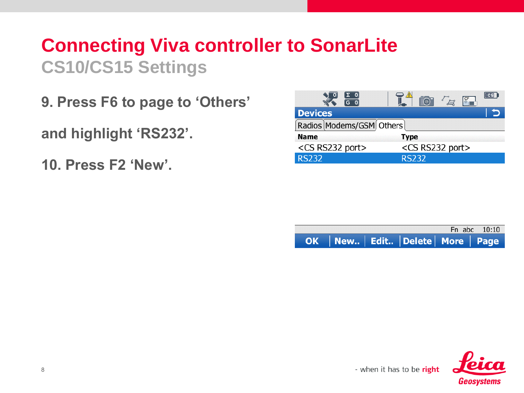**9. Press F6 to page to 'Others'** 

**and highlight 'RS232'.**

**10. Press F2 'New'.**

|                                                              | $\frac{1}{2}$              |  |
|--------------------------------------------------------------|----------------------------|--|
| <b>Devices</b>                                               |                            |  |
| $\lceil$ Radios $\lceil$ Modems/GSM $\lceil$ Others $\lceil$ |                            |  |
| <b>Name</b>                                                  | <b>Type</b>                |  |
| <cs port="" rs232=""></cs>                                   | <cs port="" rs232=""></cs> |  |
| <b>RS232</b>                                                 | <b>RS232</b>               |  |

|  |                                        | Fn abc 10:10 |
|--|----------------------------------------|--------------|
|  | OK   New   Edit   Delete   More   Page |              |

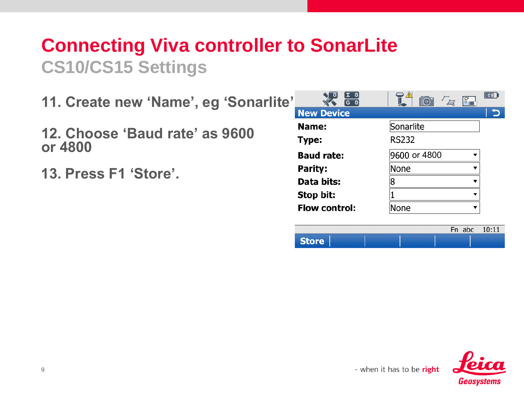- **11. Create new 'Name', eg 'Sonarlite'.**
- **12. Choose 'Baud rate' as 9600 or 4800**
- **13. Press F1 'Store'.**

| Σ<br>$^{\circ}$<br>G.<br>$\Omega$ | <u>⁄1\</u><br>$\lceil$ (0) | $\overline{\text{cs}}$<br>CF |
|-----------------------------------|----------------------------|------------------------------|
| <b>New Device</b>                 |                            |                              |
| Name:                             | Sonarlite                  |                              |
| Type:                             | <b>RS232</b>               |                              |
| <b>Baud rate:</b>                 | 9600 or 4800               | ▼                            |
| Parity:                           | None                       |                              |
| Data bits:                        |                            | ┳                            |
| Stop bit:                         |                            | ▼                            |
| <b>Flow control:</b>              | lone                       | ▼                            |
|                                   |                            |                              |



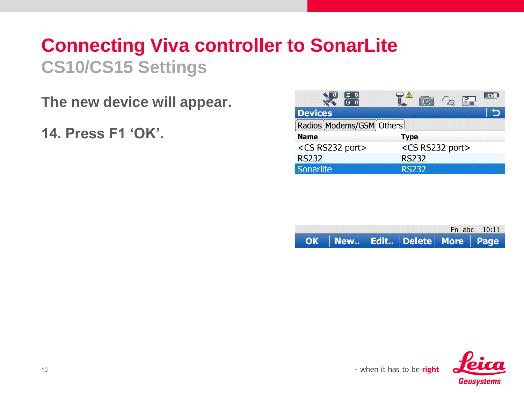**The new device will appear.** 

**14. Press F1 'OK'.**

|                            | $r_{\rm H}$                |
|----------------------------|----------------------------|
| <b>Devices</b>             |                            |
| Radios Modems/GSM Others   |                            |
| <b>Name</b>                | <b>Type</b>                |
| <cs port="" rs232=""></cs> | <cs port="" rs232=""></cs> |
| <b>RS232</b>               | <b>RS232</b>               |
| Sonarlite                  | <b>RS232</b>               |

|  |                                        | Fn abc 10:11 |
|--|----------------------------------------|--------------|
|  | OK   New   Edit   Delete   More   Page |              |

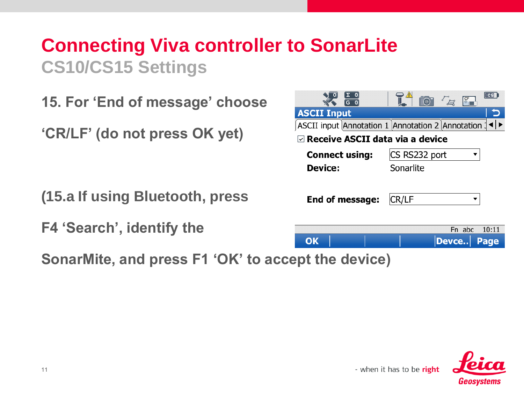**15. For 'End of message' choose** 

**'CR/LF' (do not press OK yet)**

**(15.a If using Bluetooth, press**

**F4 'Search', identify the** 

**SonarMite, and press F1 'OK' to accept the device)** 

| $\overline{G}$ 0                          | $\overline{\phantom{a}}$ cs<br>$r_{\mathcal{I}}$   |  |  |  |
|-------------------------------------------|----------------------------------------------------|--|--|--|
| <b>ASCII Input</b>                        |                                                    |  |  |  |
|                                           | ASCII input Annotation 1 Annotation 2 Annotation 1 |  |  |  |
| $\boxdot$ Receive ASCII data via a device |                                                    |  |  |  |
| <b>Connect using:</b>                     | CS RS232 port                                      |  |  |  |
| Device:                                   | Sonarlite                                          |  |  |  |
| End of message:                           | CR/LF                                              |  |  |  |
|                                           | 10:11<br>Fn abc                                    |  |  |  |
| OK                                        | Page<br>Devce                                      |  |  |  |
| .                                         | w.                                                 |  |  |  |

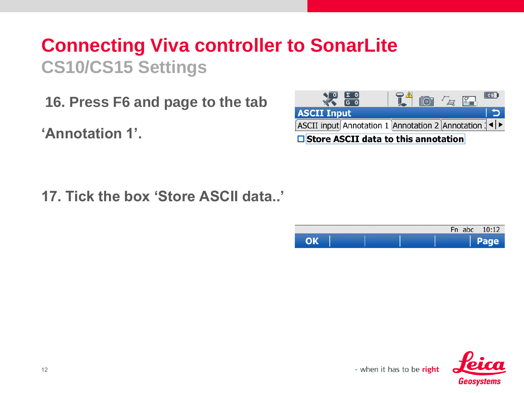**16. Press F6 and page to the tab** 

**'Annotation 1'.**



**17. Tick the box 'Store ASCII data..'**

|  |  |  | Fn abc 10:12 |
|--|--|--|--------------|
|  |  |  | Page         |